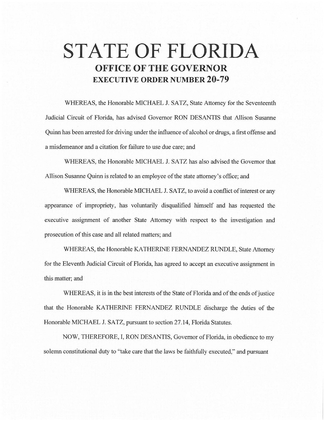# **STATE OF FLORIDA OFFICE OF THE GOVERNOR EXECUTIVE ORDER NUMBER 20-79**

WHEREAS, the Honorable MlCHAEL J. SATZ, State Attorney for the Seventeenth Judicial Circuit of Florida, has advised Governor RON DESANTIS that Allison Susanne Quinn has been arrested for driving under the influence of alcohol or drugs, a first offense and a misdemeanor and a citation for failure to use due care; and

WHEREAS, the Honorable MICHAEL J. SATZ has also advised the Governor that Allison Susanne Quinn is related to an employee of the state attorney's office; and

WHEREAS, the Honorable MICHAEL J. SATZ, to avoid a conflict of interest or any appearance of impropriety, has voluntarily disqualified himself and has requested the executive assignment of another State Attorney with respect to the investigation and prosecution of this case and all related matters; and

WHEREAS, the Honorable KA THERINE FERNANDEZ RUNDLE, State Attorney for the Eleventh Judicial Circuit of Florida, has agreed to accept an executive assignment in this matter; and

WHEREAS, it is in the best interests of the State of Florida and of the ends of justice that the Honorable KA THERINE FERNANDEZ RUNDLE discharge the duties of the Honorable MICHAEL J. SATZ, pursuant to section 27.14, Florida Statutes.

NOW, THEREFORE, I, RON DESANTIS, Governor of Florida, in obedience to my solemn constitutional duty to "take care that the laws be faithfully executed," and pursuant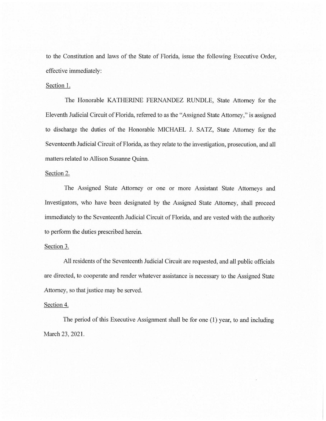to the Constitution and laws of the State of Florida, issue the following Executive Order, effective immediately:

## Section 1.

The Honorable KATHERINE FERNANDEZ RUNDLE, State Attorney for the Eleventh Judicial Circuit of Florida, referred to as the "Assigned State Attorney," is assigned to discharge the duties of the Honorable MICHAEL J. SATZ, State Attorney for the Seventeenth Judicial Circuit of Florida, as they relate to the investigation, prosecution, and all matters related to Allison Susanne Quinn.

#### Section 2.

The Assigned State Attorney or one or more Assistant State Attorneys and Investigators, who have been designated by the Assigned State Attorney, shall proceed immediately to the Seventeenth Judicial Circuit of Florida, and are vested with the authority to perform the duties prescribed herein.

## Section 3.

All residents of the Seventeenth Judicial Circuit are requested, and all public officials are directed, to cooperate and render whatever assistance is necessary to the Assigned State Attorney, so that justice may be served.

### Section 4.

The period of this Executive Assignment shall be for one (1) year, to and including March 23, 2021.